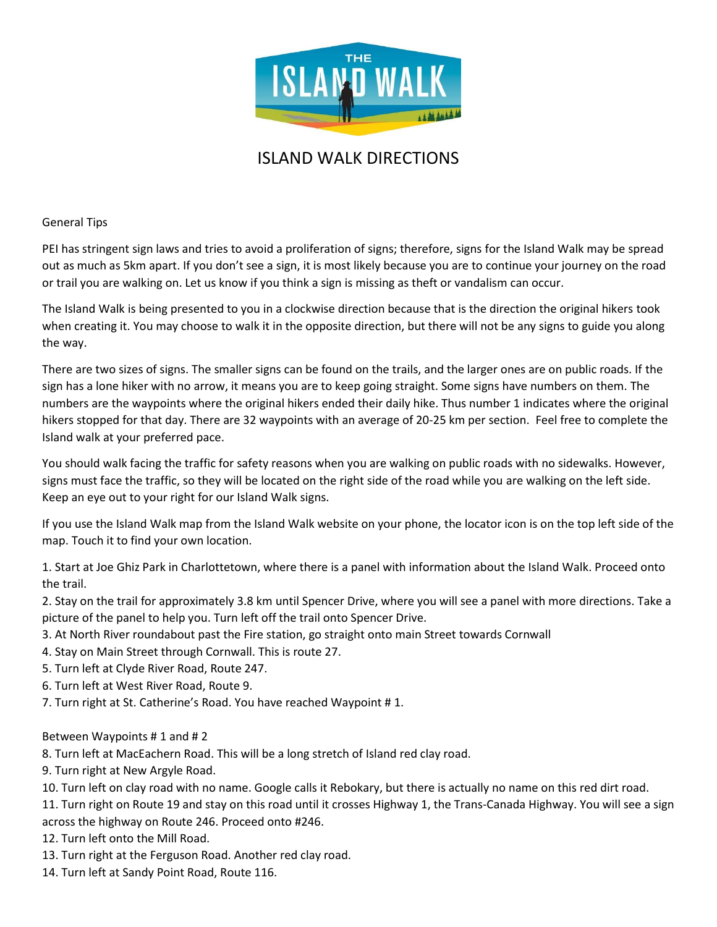

# ISLAND WALK DIRECTIONS

General Tips

PEI has stringent sign laws and tries to avoid a proliferation of signs; therefore, signs for the Island Walk may be spread out as much as 5km apart. If you don't see a sign, it is most likely because you are to continue your journey on the road or trail you are walking on. Let us know if you think a sign is missing as theft or vandalism can occur.

The Island Walk is being presented to you in a clockwise direction because that is the direction the original hikers took when creating it. You may choose to walk it in the opposite direction, but there will not be any signs to guide you along the way.

There are two sizes of signs. The smaller signs can be found on the trails, and the larger ones are on public roads. If the sign has a lone hiker with no arrow, it means you are to keep going straight. Some signs have numbers on them. The numbers are the waypoints where the original hikers ended their daily hike. Thus number 1 indicates where the original hikers stopped for that day. There are 32 waypoints with an average of 20-25 km per section. Feel free to complete the Island walk at your preferred pace.

You should walk facing the traffic for safety reasons when you are walking on public roads with no sidewalks. However, signs must face the traffic, so they will be located on the right side of the road while you are walking on the left side. Keep an eye out to your right for our Island Walk signs.

If you use the Island Walk map from the Island Walk website on your phone, the locator icon is on the top left side of the map. Touch it to find your own location.

1. Start at Joe Ghiz Park in Charlottetown, where there is a panel with information about the Island Walk. Proceed onto the trail.

2. Stay on the trail for approximately 3.8 km until Spencer Drive, where you will see a panel with more directions. Take a picture of the panel to help you. Turn left off the trail onto Spencer Drive.

- 3. At North River roundabout past the Fire station, go straight onto main Street towards Cornwall
- 4. Stay on Main Street through Cornwall. This is route 27.
- 5. Turn left at Clyde River Road, Route 247.
- 6. Turn left at West River Road, Route 9.
- 7. Turn right at St. Catherine's Road. You have reached Waypoint # 1.

## Between Waypoints # 1 and # 2

8. Turn left at MacEachern Road. This will be a long stretch of Island red clay road.

- 9. Turn right at New Argyle Road.
- 10. Turn left on clay road with no name. Google calls it Rebokary, but there is actually no name on this red dirt road.

11. Turn right on Route 19 and stay on this road until it crosses Highway 1, the Trans-Canada Highway. You will see a sign across the highway on Route 246. Proceed onto #246.

- 12. Turn left onto the Mill Road.
- 13. Turn right at the Ferguson Road. Another red clay road.
- 14. Turn left at Sandy Point Road, Route 116.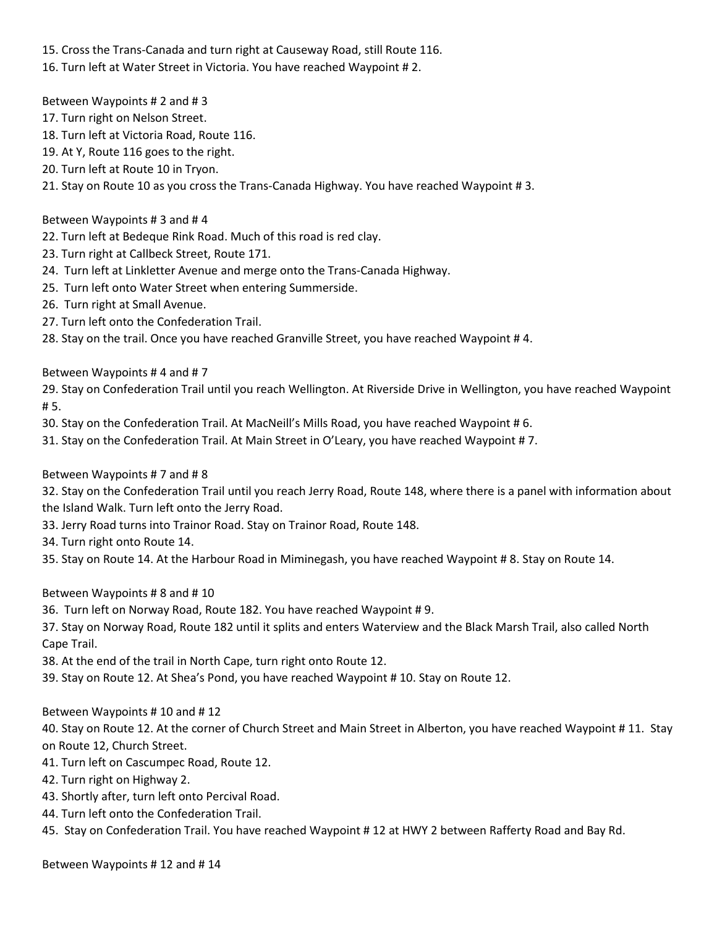15. Cross the Trans-Canada and turn right at Causeway Road, still Route 116.

16. Turn left at Water Street in Victoria. You have reached Waypoint # 2.

Between Waypoints # 2 and # 3

- 17. Turn right on Nelson Street.
- 18. Turn left at Victoria Road, Route 116.
- 19. At Y, Route 116 goes to the right.
- 20. Turn left at Route 10 in Tryon.
- 21. Stay on Route 10 as you cross the Trans-Canada Highway. You have reached Waypoint # 3.

Between Waypoints # 3 and # 4

- 22. Turn left at Bedeque Rink Road. Much of this road is red clay.
- 23. Turn right at Callbeck Street, Route 171.
- 24. Turn left at Linkletter Avenue and merge onto the Trans-Canada Highway.
- 25. Turn left onto Water Street when entering Summerside.
- 26. Turn right at Small Avenue.
- 27. Turn left onto the Confederation Trail.
- 28. Stay on the trail. Once you have reached Granville Street, you have reached Waypoint #4.

Between Waypoints # 4 and # 7

29. Stay on Confederation Trail until you reach Wellington. At Riverside Drive in Wellington, you have reached Waypoint # 5.

30. Stay on the Confederation Trail. At MacNeill's Mills Road, you have reached Waypoint # 6.

31. Stay on the Confederation Trail. At Main Street in O'Leary, you have reached Waypoint # 7.

Between Waypoints # 7 and # 8

32. Stay on the Confederation Trail until you reach Jerry Road, Route 148, where there is a panel with information about the Island Walk. Turn left onto the Jerry Road.

- 33. Jerry Road turns into Trainor Road. Stay on Trainor Road, Route 148.
- 34. Turn right onto Route 14.

35. Stay on Route 14. At the Harbour Road in Miminegash, you have reached Waypoint # 8. Stay on Route 14.

Between Waypoints # 8 and # 10

36. Turn left on Norway Road, Route 182. You have reached Waypoint # 9.

37. Stay on Norway Road, Route 182 until it splits and enters Waterview and the Black Marsh Trail, also called North Cape Trail.

38. At the end of the trail in North Cape, turn right onto Route 12.

39. Stay on Route 12. At Shea's Pond, you have reached Waypoint # 10. Stay on Route 12.

Between Waypoints # 10 and # 12

40. Stay on Route 12. At the corner of Church Street and Main Street in Alberton, you have reached Waypoint # 11. Stay on Route 12, Church Street.

- 41. Turn left on Cascumpec Road, Route 12.
- 42. Turn right on Highway 2.
- 43. Shortly after, turn left onto Percival Road.
- 44. Turn left onto the Confederation Trail.
- 45. Stay on Confederation Trail. You have reached Waypoint # 12 at HWY 2 between Rafferty Road and Bay Rd.

Between Waypoints # 12 and # 14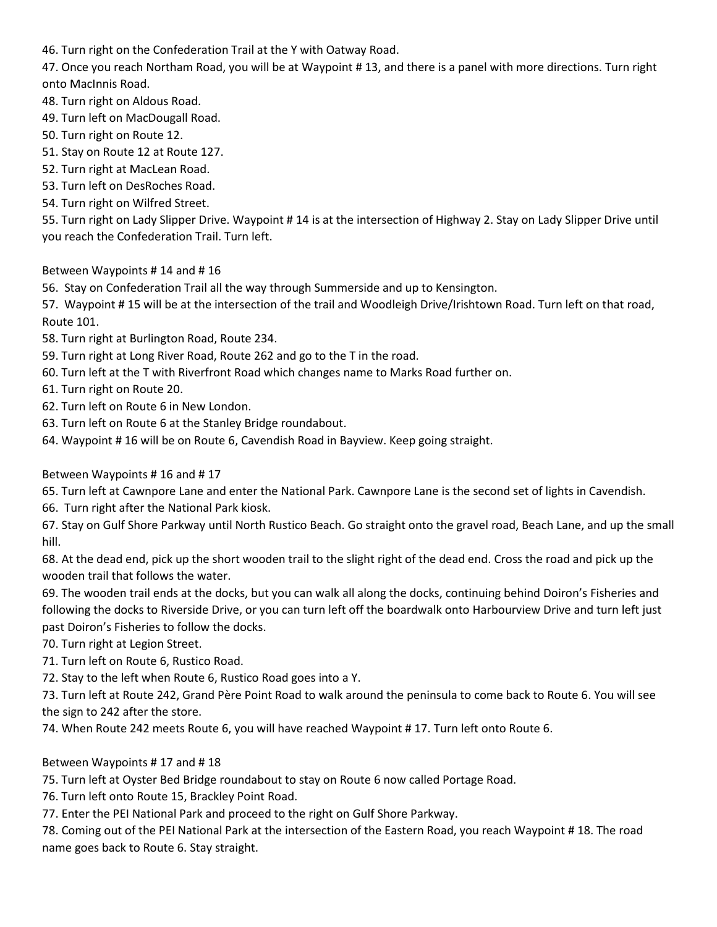46. Turn right on the Confederation Trail at the Y with Oatway Road.

47. Once you reach Northam Road, you will be at Waypoint # 13, and there is a panel with more directions. Turn right onto MacInnis Road.

- 48. Turn right on Aldous Road.
- 49. Turn left on MacDougall Road.
- 50. Turn right on Route 12.
- 51. Stay on Route 12 at Route 127.
- 52. Turn right at MacLean Road.
- 53. Turn left on DesRoches Road.
- 54. Turn right on Wilfred Street.

55. Turn right on Lady Slipper Drive. Waypoint # 14 is at the intersection of Highway 2. Stay on Lady Slipper Drive until you reach the Confederation Trail. Turn left.

Between Waypoints # 14 and # 16

56. Stay on Confederation Trail all the way through Summerside and up to Kensington.

57. Waypoint # 15 will be at the intersection of the trail and Woodleigh Drive/Irishtown Road. Turn left on that road, Route 101.

- 58. Turn right at Burlington Road, Route 234.
- 59. Turn right at Long River Road, Route 262 and go to the T in the road.
- 60. Turn left at the T with Riverfront Road which changes name to Marks Road further on.
- 61. Turn right on Route 20.
- 62. Turn left on Route 6 in New London.
- 63. Turn left on Route 6 at the Stanley Bridge roundabout.
- 64. Waypoint # 16 will be on Route 6, Cavendish Road in Bayview. Keep going straight.

## Between Waypoints # 16 and # 17

65. Turn left at Cawnpore Lane and enter the National Park. Cawnpore Lane is the second set of lights in Cavendish.

66. Turn right after the National Park kiosk.

67. Stay on Gulf Shore Parkway until North Rustico Beach. Go straight onto the gravel road, Beach Lane, and up the small hill.

68. At the dead end, pick up the short wooden trail to the slight right of the dead end. Cross the road and pick up the wooden trail that follows the water.

69. The wooden trail ends at the docks, but you can walk all along the docks, continuing behind Doiron's Fisheries and following the docks to Riverside Drive, or you can turn left off the boardwalk onto Harbourview Drive and turn left just past Doiron's Fisheries to follow the docks.

70. Turn right at Legion Street.

- 71. Turn left on Route 6, Rustico Road.
- 72. Stay to the left when Route 6, Rustico Road goes into a Y.

73. Turn left at Route 242, Grand Père Point Road to walk around the peninsula to come back to Route 6. You will see the sign to 242 after the store.

74. When Route 242 meets Route 6, you will have reached Waypoint # 17. Turn left onto Route 6.

## Between Waypoints # 17 and # 18

75. Turn left at Oyster Bed Bridge roundabout to stay on Route 6 now called Portage Road.

76. Turn left onto Route 15, Brackley Point Road.

77. Enter the PEI National Park and proceed to the right on Gulf Shore Parkway.

78. Coming out of the PEI National Park at the intersection of the Eastern Road, you reach Waypoint # 18. The road name goes back to Route 6. Stay straight.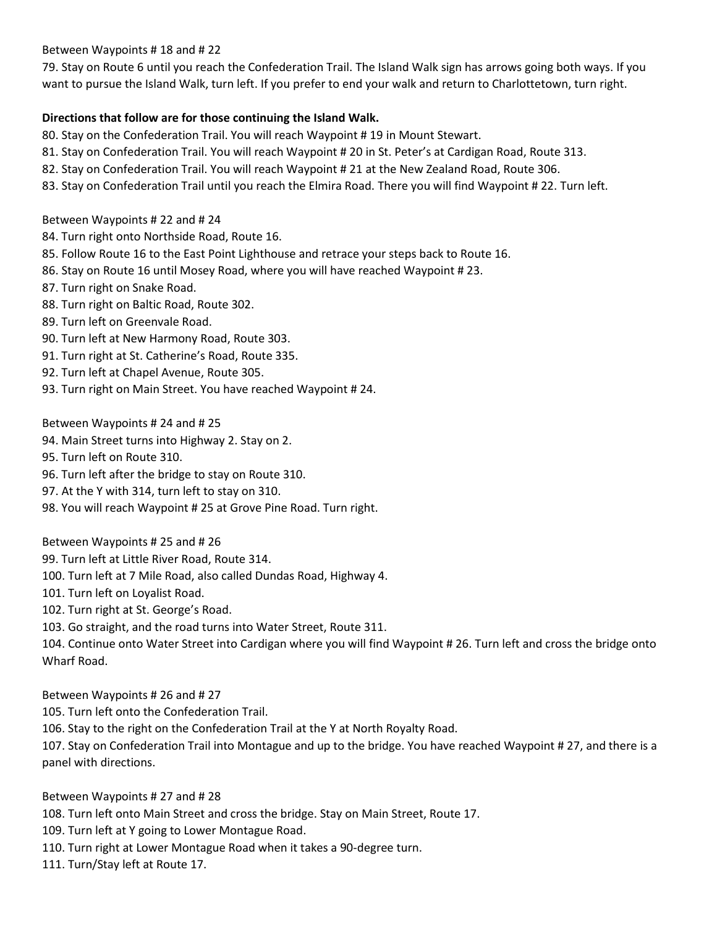#### Between Waypoints # 18 and # 22

79. Stay on Route 6 until you reach the Confederation Trail. The Island Walk sign has arrows going both ways. If you want to pursue the Island Walk, turn left. If you prefer to end your walk and return to Charlottetown, turn right.

#### **Directions that follow are for those continuing the Island Walk.**

80. Stay on the Confederation Trail. You will reach Waypoint # 19 in Mount Stewart.

- 81. Stay on Confederation Trail. You will reach Waypoint # 20 in St. Peter's at Cardigan Road, Route 313.
- 82. Stay on Confederation Trail. You will reach Waypoint # 21 at the New Zealand Road, Route 306.
- 83. Stay on Confederation Trail until you reach the Elmira Road. There you will find Waypoint # 22. Turn left.

#### Between Waypoints # 22 and # 24

- 84. Turn right onto Northside Road, Route 16.
- 85. Follow Route 16 to the East Point Lighthouse and retrace your steps back to Route 16.
- 86. Stay on Route 16 until Mosey Road, where you will have reached Waypoint # 23.
- 87. Turn right on Snake Road.
- 88. Turn right on Baltic Road, Route 302.
- 89. Turn left on Greenvale Road.
- 90. Turn left at New Harmony Road, Route 303.
- 91. Turn right at St. Catherine's Road, Route 335.
- 92. Turn left at Chapel Avenue, Route 305.
- 93. Turn right on Main Street. You have reached Waypoint # 24.

Between Waypoints # 24 and # 25

- 94. Main Street turns into Highway 2. Stay on 2.
- 95. Turn left on Route 310.
- 96. Turn left after the bridge to stay on Route 310.
- 97. At the Y with 314, turn left to stay on 310.
- 98. You will reach Waypoint # 25 at Grove Pine Road. Turn right.

Between Waypoints # 25 and # 26

99. Turn left at Little River Road, Route 314.

- 100. Turn left at 7 Mile Road, also called Dundas Road, Highway 4.
- 101. Turn left on Loyalist Road.
- 102. Turn right at St. George's Road.
- 103. Go straight, and the road turns into Water Street, Route 311.

104. Continue onto Water Street into Cardigan where you will find Waypoint # 26. Turn left and cross the bridge onto Wharf Road.

Between Waypoints # 26 and # 27

105. Turn left onto the Confederation Trail.

106. Stay to the right on the Confederation Trail at the Y at North Royalty Road.

107. Stay on Confederation Trail into Montague and up to the bridge. You have reached Waypoint # 27, and there is a panel with directions.

Between Waypoints # 27 and # 28

108. Turn left onto Main Street and cross the bridge. Stay on Main Street, Route 17.

- 109. Turn left at Y going to Lower Montague Road.
- 110. Turn right at Lower Montague Road when it takes a 90-degree turn.

111. Turn/Stay left at Route 17.